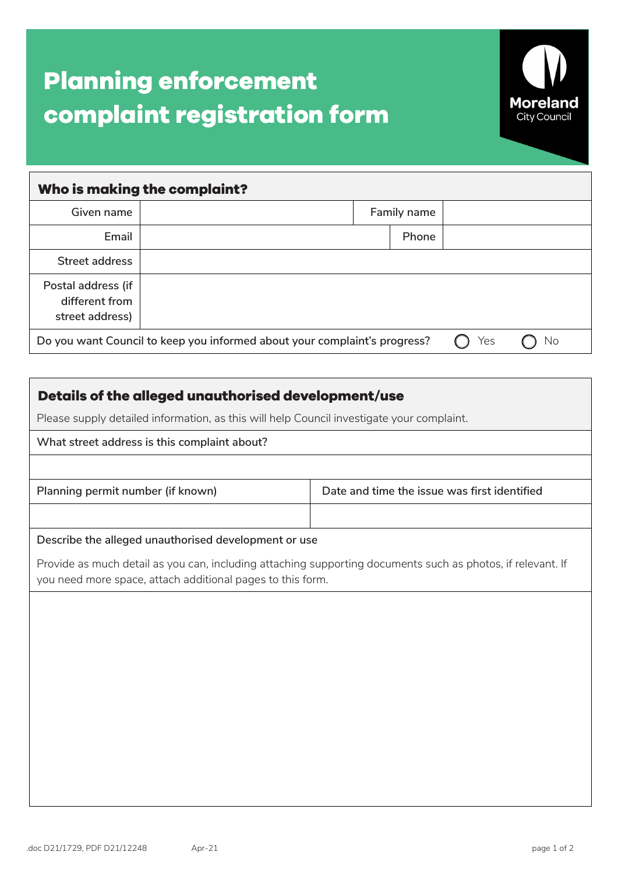# **Planning enforcement complaint registration form**



|                                                                                        | Who is making the complaint? |             |       |  |  |  |
|----------------------------------------------------------------------------------------|------------------------------|-------------|-------|--|--|--|
| Given name                                                                             |                              | Family name |       |  |  |  |
| Email                                                                                  |                              |             | Phone |  |  |  |
| Street address                                                                         |                              |             |       |  |  |  |
| Postal address (if<br>different from<br>street address)                                |                              |             |       |  |  |  |
| Do you want Council to keep you informed about your complaint's progress?<br>Yes<br>Νo |                              |             |       |  |  |  |

| Details of the alleged unauthorised development/use<br>Please supply detailed information, as this will help Council investigate your complaint. |                                                                                                             |  |  |  |  |  |  |
|--------------------------------------------------------------------------------------------------------------------------------------------------|-------------------------------------------------------------------------------------------------------------|--|--|--|--|--|--|
|                                                                                                                                                  |                                                                                                             |  |  |  |  |  |  |
|                                                                                                                                                  |                                                                                                             |  |  |  |  |  |  |
| Planning permit number (if known)                                                                                                                | Date and time the issue was first identified                                                                |  |  |  |  |  |  |
|                                                                                                                                                  |                                                                                                             |  |  |  |  |  |  |
| Describe the alleged unauthorised development or use                                                                                             |                                                                                                             |  |  |  |  |  |  |
| you need more space, attach additional pages to this form.                                                                                       | Provide as much detail as you can, including attaching supporting documents such as photos, if relevant. If |  |  |  |  |  |  |
|                                                                                                                                                  |                                                                                                             |  |  |  |  |  |  |
|                                                                                                                                                  |                                                                                                             |  |  |  |  |  |  |
|                                                                                                                                                  |                                                                                                             |  |  |  |  |  |  |
|                                                                                                                                                  |                                                                                                             |  |  |  |  |  |  |
|                                                                                                                                                  |                                                                                                             |  |  |  |  |  |  |
|                                                                                                                                                  |                                                                                                             |  |  |  |  |  |  |
|                                                                                                                                                  |                                                                                                             |  |  |  |  |  |  |
|                                                                                                                                                  |                                                                                                             |  |  |  |  |  |  |